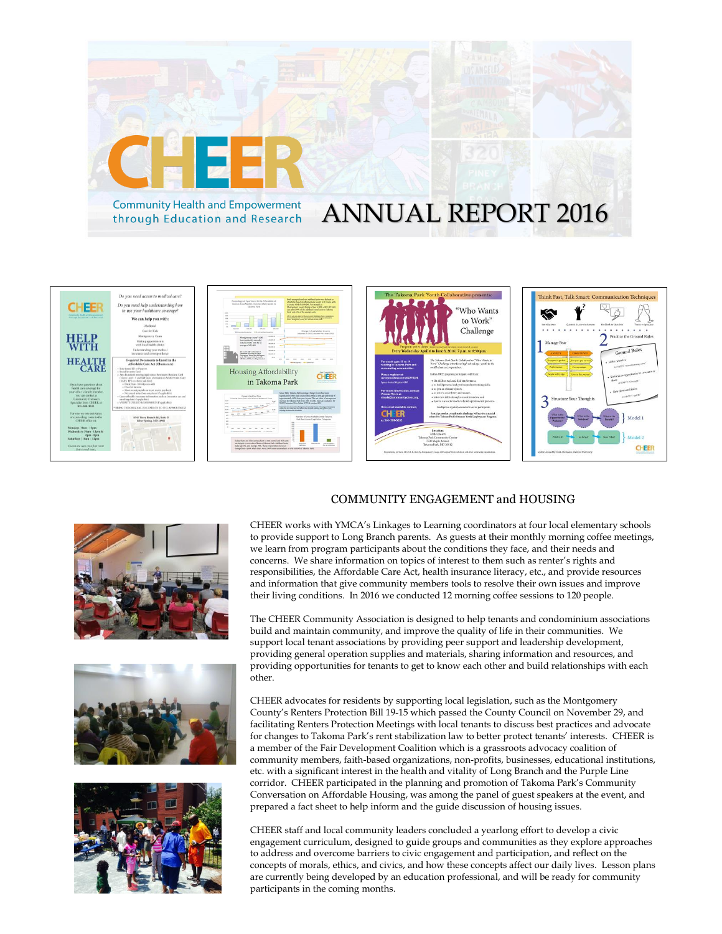



![](_page_0_Picture_2.jpeg)

![](_page_0_Picture_3.jpeg)

![](_page_0_Picture_4.jpeg)

## COMMUNITY ENGAGEMENT and HOUSING

CHEER works with YMCA's Linkages to Learning coordinators at four local elementary schools to provide support to Long Branch parents. As guests at their monthly morning coffee meetings, we learn from program participants about the conditions they face, and their needs and concerns. We share information on topics of interest to them such as renter's rights and responsibilities, the Affordable Care Act, health insurance literacy, etc., and provide resources and information that give community members tools to resolve their own issues and improve their living conditions. In 2016 we conducted 12 morning coffee sessions to 120 people.

The CHEER Community Association is designed to help tenants and condominium associations build and maintain community, and improve the quality of life in their communities. We support local tenant associations by providing peer support and leadership development, providing general operation supplies and materials, sharing information and resources, and providing opportunities for tenants to get to know each other and build relationships with each other.

CHEER advocates for residents by supporting local legislation, such as the Montgomery County's Renters Protection Bill 19-15 which passed the County Council on November 29, and facilitating Renters Protection Meetings with local tenants to discuss best practices and advocate for changes to Takoma Park's rent stabilization law to better protect tenants' interests. CHEER is a member of the Fair Development Coalition which is a grassroots advocacy coalition of community members, faith-based organizations, non-profits, businesses, educational institutions, etc. with a significant interest in the health and vitality of Long Branch and the Purple Line corridor. CHEER participated in the planning and promotion of Takoma Park's Community Conversation on Affordable Housing, was among the panel of guest speakers at the event, and prepared a fact sheet to help inform and the guide discussion of housing issues.

CHEER staff and local community leaders concluded a yearlong effort to develop a civic engagement curriculum, designed to guide groups and communities as they explore approaches to address and overcome barriers to civic engagement and participation, and reflect on the concepts of morals, ethics, and civics, and how these concepts affect our daily lives. Lesson plans are currently being developed by an education professional, and will be ready for community participants in the coming months.